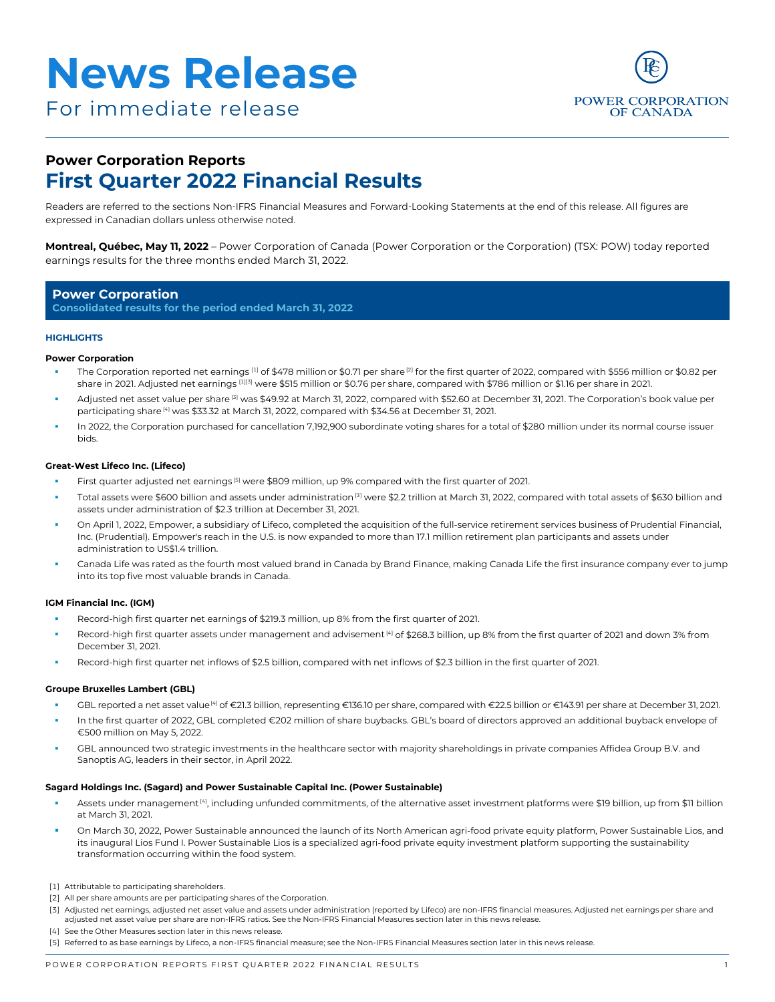



# **Power Corporation Reports First Quarter 2022 Financial Results**

Readers are referred to the sections Non-IFRS Financial Measures and Forward-Looking Statements at the end of this release. All figures are expressed in Canadian dollars unless otherwise noted.

**Montreal, Québec, May 11, 2022** – Power Corporation of Canada (Power Corporation or the Corporation) (TSX: POW) today reported earnings results for the three months ended March 31, 2022.

### **Power Corporation**

**Consolidated results for the period ended March 31, 2022**

#### **HIGHLIGHTS**

#### **Power Corporation**

- The Corporation reported net earnings [1] of \$478 million or \$0.71 per share<sup>[2]</sup> for the first quarter of 2022, compared with \$556 million or \$0.82 per share in 2021. Adjusted net earnings [1][3] were \$515 million or \$0.76 per share, compared with \$786 million or \$1.16 per share in 2021.
- Adjusted net asset value per share [3] was \$49.92 at March 31, 2022, compared with \$52.60 at December 31, 2021. The Corporation's book value per participating share [4] was \$33.32 at March 31, 2022, compared with \$34.56 at December 31, 2021.
- In 2022, the Corporation purchased for cancellation 7,192,900 subordinate voting shares for a total of \$280 million under its normal course issuer bids.

#### **Great-West Lifeco Inc. (Lifeco)**

- First quarter adjusted net earnings<sup>[5]</sup> were \$809 million, up 9% compared with the first quarter of 2021.
- Total assets were \$600 billion and assets under administration<sup>[3]</sup> were \$2.2 trillion at March 31, 2022, compared with total assets of \$630 billion and assets under administration of \$2.3 trillion at December 31, 2021.
- On April 1, 2022, Empower, a subsidiary of Lifeco, completed the acquisition of the full-service retirement services business of Prudential Financial, Inc. (Prudential). Empower's reach in the U.S. is now expanded to more than 17.1 million retirement plan participants and assets under administration to US\$1.4 trillion.
- Canada Life was rated as the fourth most valued brand in Canada by Brand Finance, making Canada Life the first insurance company ever to jump into its top five most valuable brands in Canada.

#### **IGM Financial Inc. (IGM)**

- Record-high first quarter net earnings of \$219.3 million, up 8% from the first quarter of 2021.
- Record-high first quarter assets under management and advisement<sup>[4]</sup> of \$268.3 billion, up 8% from the first quarter of 2021 and down 3% from December 31, 2021.
- Record-high first quarter net inflows of \$2.5 billion, compared with net inflows of \$2.3 billion in the first quarter of 2021.

#### **Groupe Bruxelles Lambert (GBL)**

- GBL reported a net asset value<sup>[4]</sup> of €21.3 billion, representing €136.10 per share, compared with €22.5 billion or €143.91 per share at December 31, 2021.
- In the first quarter of 2022, GBL completed €202 million of share buybacks. GBL's board of directors approved an additional buyback envelope of €500 million on May 5, 2022.
- GBL announced two strategic investments in the healthcare sector with majority shareholdings in private companies Affidea Group B.V. and Sanoptis AG, leaders in their sector, in April 2022.

#### **Sagard Holdings Inc. (Sagard) and Power Sustainable Capital Inc. (Power Sustainable)**

- Assets under management<sup>[4]</sup>, including unfunded commitments, of the alternative asset investment platforms were \$19 billion, up from \$11 billion at March 31, 2021.
- On March 30, 2022, Power Sustainable announced the launch of its North American agri-food private equity platform, Power Sustainable Lios, and its inaugural Lios Fund I. Power Sustainable Lios is a specialized agri-food private equity investment platform supporting the sustainability transformation occurring within the food system.
- [1] Attributable to participating shareholders.
- [2] All per share amounts are per participating shares of the Corporation.
- [3] Adjusted net earnings, adjusted net asset value and assets under administration (reported by Lifeco) are non-IFRS financial measures. Adjusted net earnings per share and adjusted net asset value per share are non-IFRS ratios. See the Non-IFRS Financial Measures section later in this news release.
- [4] See the Other Measures section later in this news release
- [5] Referred to as base earnings by Lifeco, a non-IFRS financial measure; see the Non-IFRS Financial Measures section later in this news release.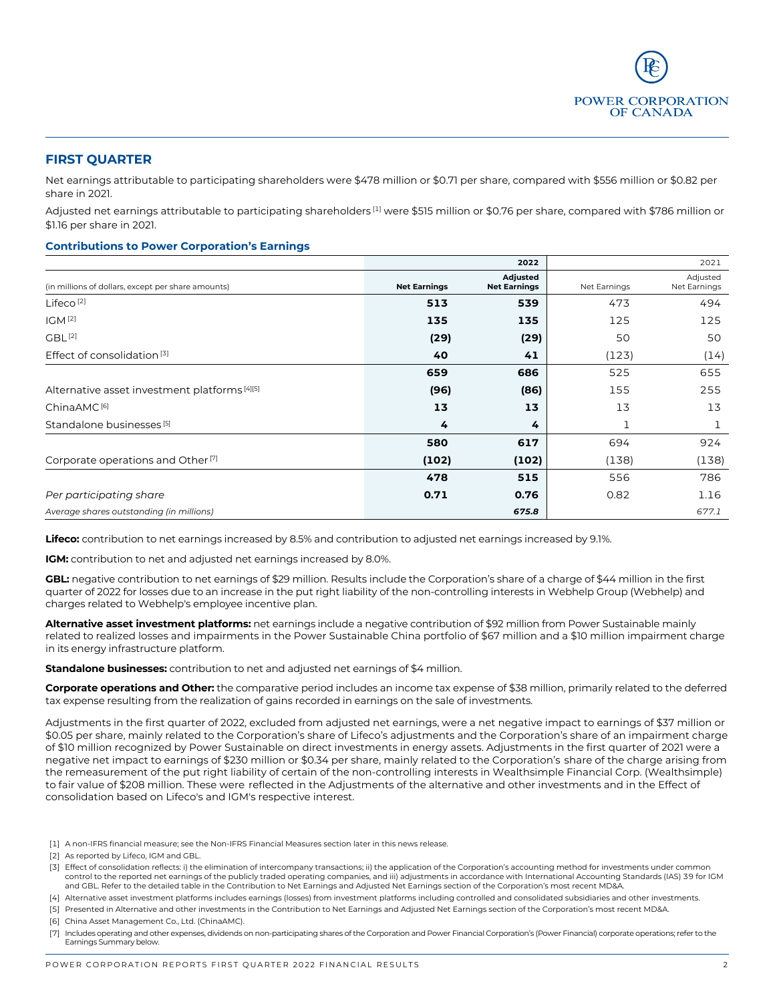

# **FIRST QUARTER**

Net earnings attributable to participating shareholders were \$478 million or \$0.71 per share, compared with \$556 million or \$0.82 per share in 2021.

Adjusted net earnings attributable to participating shareholders <sup>[1]</sup> were \$515 million or \$0.76 per share, compared with \$786 million or \$1.16 per share in 2021.

### **Contributions to Power Corporation's Earnings**

|                                                    |                     | 2022                            |              | 2021                     |
|----------------------------------------------------|---------------------|---------------------------------|--------------|--------------------------|
| (in millions of dollars, except per share amounts) | <b>Net Earnings</b> | Adjusted<br><b>Net Earnings</b> | Net Earnings | Adjusted<br>Net Earnings |
| Lifeco <sup>[2]</sup>                              | 513                 | 539                             | 473          | 494                      |
| IGM <sup>[2]</sup>                                 | 135                 | 135                             | 125          | 125                      |
| GBL <sup>[2]</sup>                                 | (29)                | (29)                            | 50           | 50                       |
| Effect of consolidation <sup>[3]</sup>             | 40                  | 41                              | (123)        | (14)                     |
|                                                    | 659                 | 686                             | 525          | 655                      |
| Alternative asset investment platforms [4][5]      | (96)                | (86)                            | 155          | 255                      |
| ChinaAMC <sup>[6]</sup>                            | 13                  | 13                              | 13           | 13                       |
| Standalone businesses <sup>[5]</sup>               | 4                   | 4                               |              | T                        |
|                                                    | 580                 | 617                             | 694          | 924                      |
| Corporate operations and Other <sup>[7]</sup>      | (102)               | (102)                           | (138)        | (138)                    |
|                                                    | 478                 | 515                             | 556          | 786                      |
| Per participating share                            | 0.71                | 0.76                            | 0.82         | 1.16                     |
| Average shares outstanding (in millions)           |                     | 675.8                           |              | 677.1                    |

**Lifeco:** contribution to net earnings increased by 8.5% and contribution to adjusted net earnings increased by 9.1%.

**IGM:** contribution to net and adjusted net earnings increased by 8.0%.

**GBL:** negative contribution to net earnings of \$29 million. Results include the Corporation's share of a charge of \$44 million in the first quarter of 2022 for losses due to an increase in the put right liability of the non-controlling interests in Webhelp Group (Webhelp) and charges related to Webhelp's employee incentive plan.

**Alternative asset investment platforms:** net earnings include a negative contribution of \$92 million from Power Sustainable mainly related to realized losses and impairments in the Power Sustainable China portfolio of \$67 million and a \$10 million impairment charge in its energy infrastructure platform.

**Standalone businesses:** contribution to net and adjusted net earnings of \$4 million.

**Corporate operations and Other:** the comparative period includes an income tax expense of \$38 million, primarily related to the deferred tax expense resulting from the realization of gains recorded in earnings on the sale of investments.

Adjustments in the first quarter of 2022, excluded from adjusted net earnings, were a net negative impact to earnings of \$37 million or \$0.05 per share, mainly related to the Corporation's share of Lifeco's adjustments and the Corporation's share of an impairment charge of \$10 million recognized by Power Sustainable on direct investments in energy assets. Adjustments in the first quarter of 2021 were a negative net impact to earnings of \$230 million or \$0.34 per share, mainly related to the Corporation's share of the charge arising from the remeasurement of the put right liability of certain of the non-controlling interests in Wealthsimple Financial Corp. (Wealthsimple) to fair value of \$208 million. These were reflected in the Adjustments of the alternative and other investments and in the Effect of consolidation based on Lifeco's and IGM's respective interest.

[1] A non-IFRS financial measure; see the Non-IFRS Financial Measures section later in this news release.

[2] As reported by Lifeco, IGM and GBL.

- [3] Effect of consolidation reflects: i) the elimination of intercompany transactions; ii) the application of the Corporation's accounting method for investments under common control to the reported net earnings of the publicly traded operating companies, and iii) adjustments in accordance with International Accounting Standards (IAS) 39 for IGM and GBL. Refer to the detailed table in the Contribution to Net Earnings and Adjusted Net Earnings section of the Corporation's most recent MD&A.
- [4] Alternative asset investment platforms includes earnings (losses) from investment platforms including controlled and consolidated subsidiaries and other investments.
- [5] Presented in Alternative and other investments in the Contribution to Net Earnings and Adjusted Net Earnings section of the Corporation's most recent MD&A.
- [6] China Asset Management Co., Ltd. (ChinaAMC).
- [7] Includes operating and other expenses, dividends on non-participating shares of the Corporation and Power Financial Corporation's (Power Financial) corporate operations; refer to the Earnings Summary below.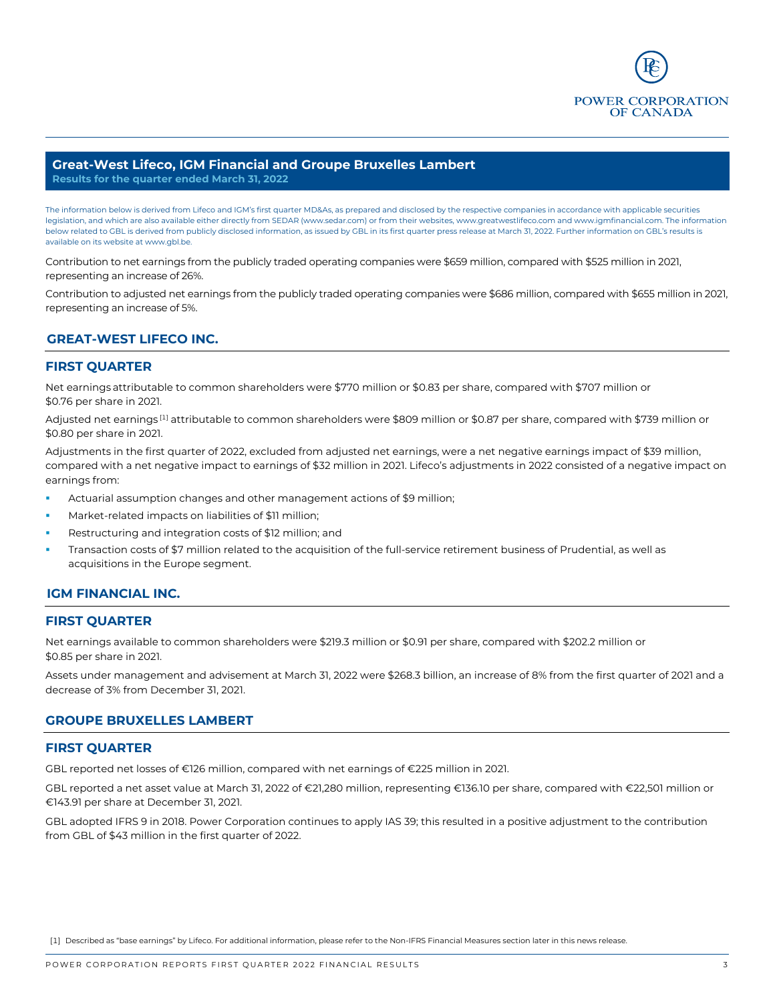

### **Great-West Lifeco, IGM Financial and Groupe Bruxelles Lambert Results for the quarter ended March 31, 2022**

The information below is derived from Lifeco and IGM's first quarter MD&As, as prepared and disclosed by the respective companies in accordance with applicable securities legislation, and which are also available either directly from SEDAR [\(www.sedar.com\)](http://www.sedar.com/) or from their websites[, www.greatwestlifeco.com](http://www.greatwestlifeco.com/) an[d www.igmfinancial.com.](http://www.igmfinancial.com/) The information below related to GBL is derived from publicly disclosed information, as issued by GBL in its first quarter press release at March 31, 2022. Further information on GBL's results is available on its website at [www.gbl.be.](http://www.gbl.be/) 

Contribution to net earnings from the publicly traded operating companies were \$659 million, compared with \$525 million in 2021, representing an increase of 26%.

Contribution to adjusted net earnings from the publicly traded operating companies were \$686 million, compared with \$655 million in 2021, representing an increase of 5%.

# **GREAT-WEST LIFECO INC.**

### **FIRST QUARTER**

Net earnings attributable to common shareholders were \$770 million or \$0.83 per share, compared with \$707 million or \$0.76 per share in 2021.

Adjusted net earnings<sup>[1]</sup> attributable to common shareholders were \$809 million or \$0.87 per share, compared with \$739 million or \$0.80 per share in 2021.

Adjustments in the first quarter of 2022, excluded from adjusted net earnings, were a net negative earnings impact of \$39 million, compared with a net negative impact to earnings of \$32 million in 2021. Lifeco's adjustments in 2022 consisted of a negative impact on earnings from:

- Actuarial assumption changes and other management actions of \$9 million;
- Market-related impacts on liabilities of \$11 million;
- Restructuring and integration costs of \$12 million; and
- Transaction costs of \$7 million related to the acquisition of the full-service retirement business of Prudential, as well as acquisitions in the Europe segment.

## **IGM FINANCIAL INC.**

### **FIRST QUARTER**

Net earnings available to common shareholders were \$219.3 million or \$0.91 per share, compared with \$202.2 million or \$0.85 per share in 2021.

Assets under management and advisement at March 31, 2022 were \$268.3 billion, an increase of 8% from the first quarter of 2021 and a decrease of 3% from December 31, 2021.

## **GROUPE BRUXELLES LAMBERT**

### **FIRST QUARTER**

GBL reported net losses of €126 million, compared with net earnings of €225 million in 2021.

GBL reported a net asset value at March 31, 2022 of €21,280 million, representing €136.10 per share, compared with €22,501 million or €143.91 per share at December 31, 2021.

GBL adopted IFRS 9 in 2018. Power Corporation continues to apply IAS 39; this resulted in a positive adjustment to the contribution from GBL of \$43 million in the first quarter of 2022.

[1] Described as "base earnings" by Lifeco. For additional information, please refer to the Non-IFRS Financial Measures section later in this news release.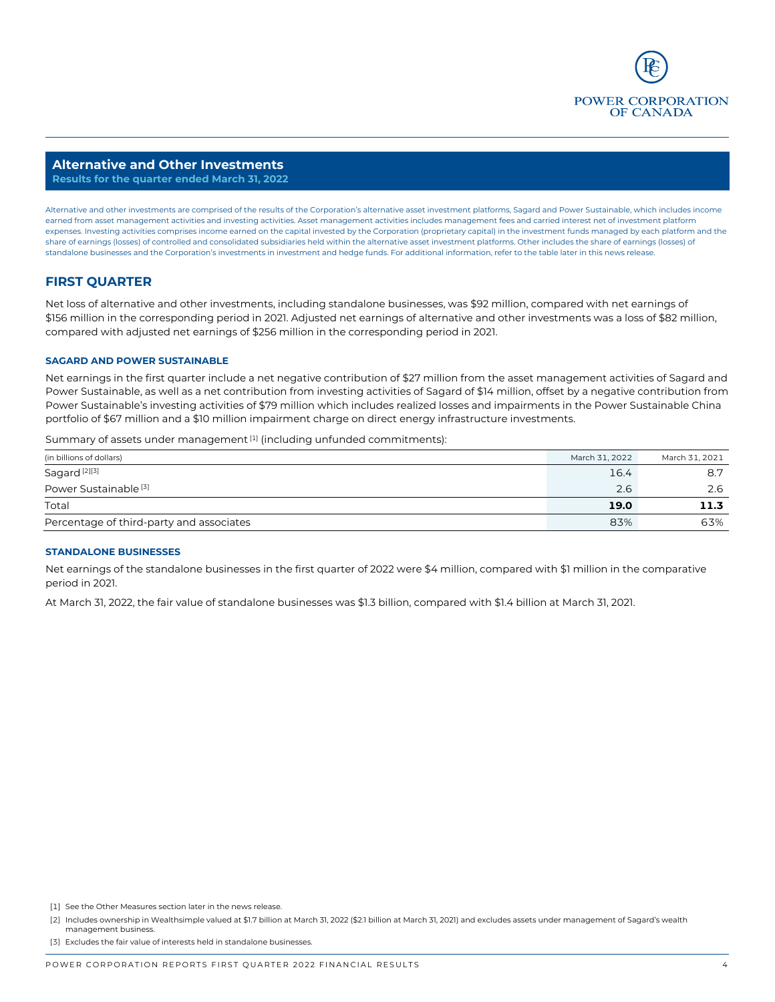

#### **Alternative and Other Investments Results for the quarter ended March 31, 2022**

Alternative and other investments are comprised of the results of the Corporation's alternative asset investment platforms, Sagard and Power Sustainable, which includes income earned from asset management activities and investing activities. Asset management activities includes management fees and carried interest net of investment platform expenses. Investing activities comprises income earned on the capital invested by the Corporation (proprietary capital) in the investment funds managed by each platform and the share of earnings (losses) of controlled and consolidated subsidiaries held within the alternative asset investment platforms. Other includes the share of earnings (losses) of standalone businesses and the Corporation's investments in investment and hedge funds. For additional information, refer to the table later in this news release.

# **FIRST QUARTER**

Net loss of alternative and other investments, including standalone businesses, was \$92 million, compared with net earnings of \$156 million in the corresponding period in 2021. Adjusted net earnings of alternative and other investments was a loss of \$82 million, compared with adjusted net earnings of \$256 million in the corresponding period in 2021.

### **SAGARD AND POWER SUSTAINABLE**

Net earnings in the first quarter include a net negative contribution of \$27 million from the asset management activities of Sagard and Power Sustainable, as well as a net contribution from investing activities of Sagard of \$14 million, offset by a negative contribution from Power Sustainable's investing activities of \$79 million which includes realized losses and impairments in the Power Sustainable China portfolio of \$67 million and a \$10 million impairment charge on direct energy infrastructure investments.

Summary of assets under management [1] (including unfunded commitments):

| (in billions of dollars)                 | March 31, 2022 | March 31, 2021 |
|------------------------------------------|----------------|----------------|
| Sagard <sup>[2][3]</sup>                 | 16.4           | 8.7            |
| Power Sustainable <sup>[3]</sup>         | 2.6            |                |
| Total                                    | 19.0           | 11.3           |
| Percentage of third-party and associates | 83%            | 63%            |

#### **STANDALONE BUSINESSES**

Net earnings of the standalone businesses in the first quarter of 2022 were \$4 million, compared with \$1 million in the comparative period in 2021.

At March 31, 2022, the fair value of standalone businesses was \$1.3 billion, compared with \$1.4 billion at March 31, 2021.

[3] Excludes the fair value of interests held in standalone businesses.

<sup>[1]</sup> See the Other Measures section later in the news release.

<sup>[2]</sup> Includes ownership in Wealthsimple valued at \$1.7 billion at March 31, 2022 (\$2.1 billion at March 31, 2021) and excludes assets under management of Sagard's wealth management business.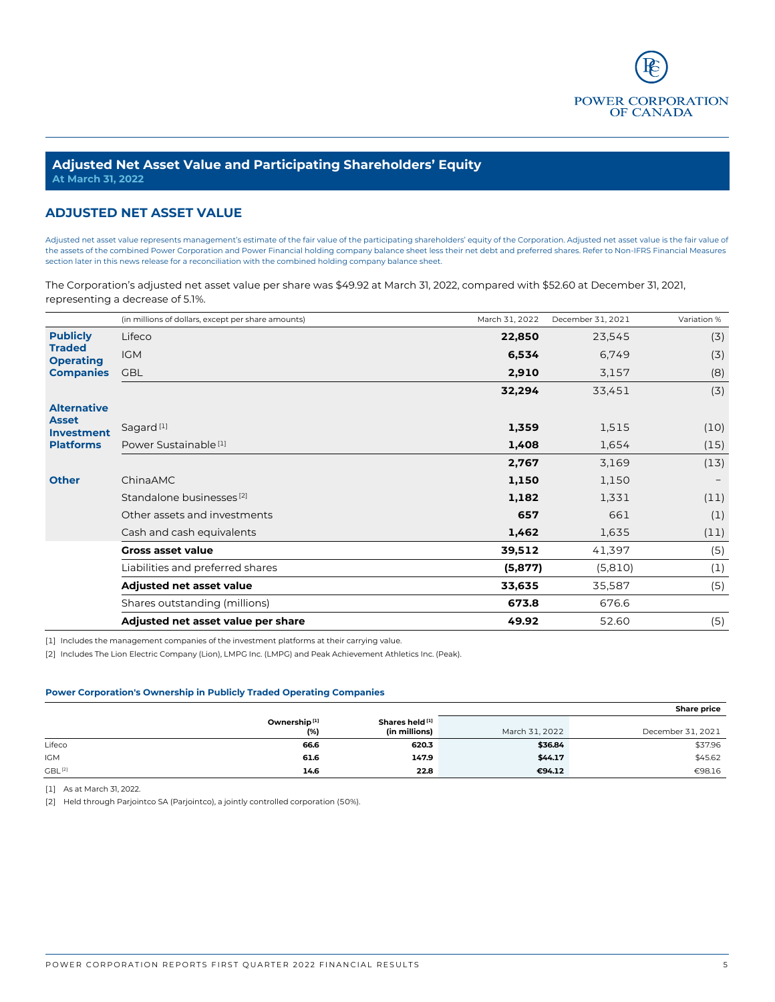

### **Adjusted Net Asset Value and Participating Shareholders' Equity At March 31, 2022**

# **ADJUSTED NET ASSET VALUE**

Adjusted net asset value represents management's estimate of the fair value of the participating shareholders' equity of the Corporation. Adjusted net asset value is the fair value of the assets of the combined Power Corporation and Power Financial holding company balance sheet less their net debt and preferred shares. Refer to Non-IFRS Financial Measures section later in this news release for a reconciliation with the combined holding company balance sheet.

The Corporation's adjusted net asset value per share was \$49.92 at March 31, 2022, compared with \$52.60 at December 31, 2021, representing a decrease of 5.1%.

|                                   | (in millions of dollars, except per share amounts) | March 31, 2022 | December 31, 2021 | Variation % |
|-----------------------------------|----------------------------------------------------|----------------|-------------------|-------------|
| <b>Publicly</b>                   | Lifeco                                             | 22,850         | 23,545            | (3)         |
| <b>Traded</b><br><b>Operating</b> | <b>IGM</b>                                         | 6,534          | 6,749             | (3)         |
| <b>Companies</b>                  | <b>GBL</b>                                         | 2,910          | 3,157             | (8)         |
|                                   |                                                    | 32,294         | 33,451            | (3)         |
| <b>Alternative</b>                |                                                    |                |                   |             |
| <b>Asset</b><br><b>Investment</b> | Sagard <sup>[1]</sup>                              | 1,359          | 1,515             | (10)        |
| <b>Platforms</b>                  | Power Sustainable <sup>[1]</sup>                   | 1,408          | 1,654             | (15)        |
|                                   |                                                    | 2,767          | 3,169             | (13)        |
| <b>Other</b>                      | ChinaAMC                                           | 1,150          | 1,150             |             |
|                                   | Standalone businesses <sup>[2]</sup>               | 1,182          | 1,331             | (11)        |
|                                   | Other assets and investments                       | 657            | 661               | (1)         |
|                                   | Cash and cash equivalents                          | 1,462          | 1,635             | (11)        |
|                                   | <b>Gross asset value</b>                           | 39,512         | 41,397            | (5)         |
|                                   | Liabilities and preferred shares                   | (5, 877)       | (5,810)           | (1)         |
|                                   | Adjusted net asset value                           | 33,635         | 35,587            | (5)         |
|                                   | Shares outstanding (millions)                      | 673.8          | 676.6             |             |
|                                   | Adjusted net asset value per share                 | 49.92          | 52.60             | (5)         |

[1] Includes the management companies of the investment platforms at their carrying value.

[2] Includes The Lion Electric Company (Lion), LMPG Inc. (LMPG) and Peak Achievement Athletics Inc. (Peak).

#### **Power Corporation's Ownership in Publicly Traded Operating Companies**

|                    |                                 |                                             |                | <b>Share price</b> |
|--------------------|---------------------------------|---------------------------------------------|----------------|--------------------|
|                    | Ownership <sup>[1]</sup><br>(%) | Shares held <sup>[1]</sup><br>(in millions) | March 31, 2022 | December 31, 2021  |
| Lifeco             | 66.6                            | 620.3                                       | \$36.84        | \$37.96            |
| <b>IGM</b>         | 61.6                            | 147.9                                       | \$44.17        | \$45.62            |
| GBL <sup>[2]</sup> | 14.6                            | 22.8                                        | €94.12         | €98.16             |

[1] As at March 31, 2022.

[2] Held through Parjointco SA (Parjointco), a jointly controlled corporation (50%).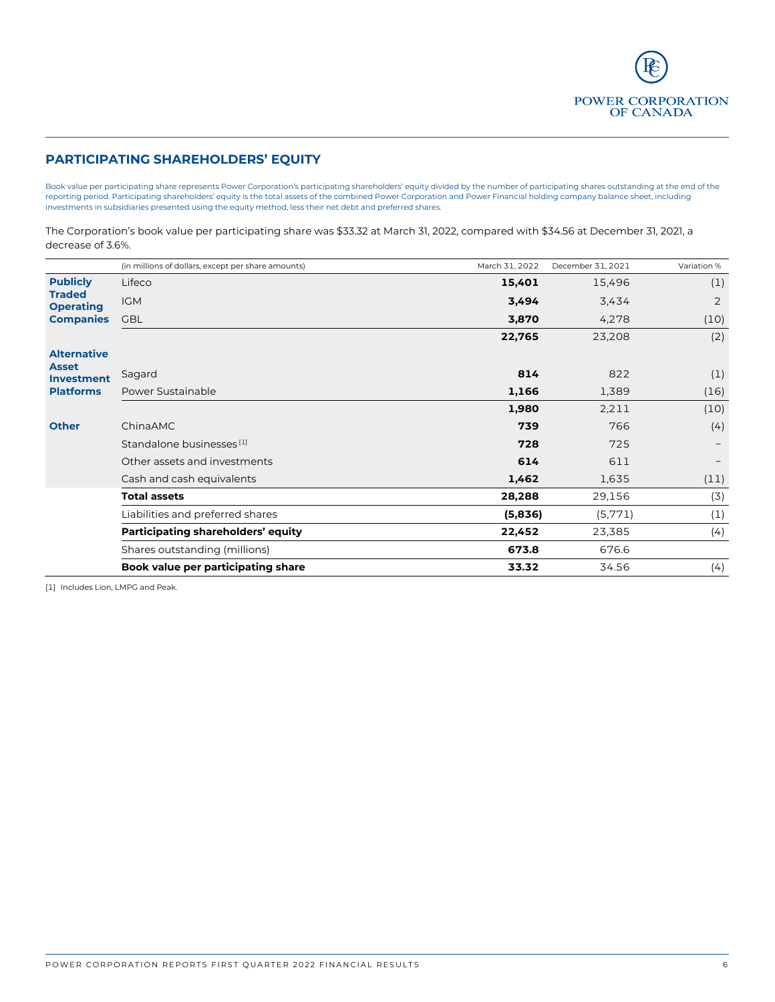POWER CORPORATION<br>OF CANADA

# **PARTICIPATING SHAREHOLDERS' EQUITY**

Book value per participating share represents Power Corporation's participating shareholders' equity divided by the number of participating shares outstanding at the end of the reporting period. Participating shareholders' equity is the total assets of the combined Power Corporation and Power Financial holding company balance sheet, including investments in subsidiaries presented using the equity method, less their net debt and preferred shares.

The Corporation's book value per participating share was \$33.32 at March 31, 2022, compared with \$34.56 at December 31, 2021, a decrease of 3.6%.

|                                   | (in millions of dollars, except per share amounts) | March 31, 2022 | December 31, 2021 | Variation % |
|-----------------------------------|----------------------------------------------------|----------------|-------------------|-------------|
| <b>Publicly</b>                   | Lifeco                                             | 15,401         | 15,496            | (1)         |
| <b>Traded</b><br><b>Operating</b> | <b>IGM</b>                                         | 3,494          | 3,434             | 2           |
| <b>Companies</b>                  | <b>GBL</b>                                         | 3,870          | 4,278             | (10)        |
|                                   |                                                    | 22,765         | 23,208            | (2)         |
| <b>Alternative</b>                |                                                    |                |                   |             |
| <b>Asset</b><br><b>Investment</b> | Sagard                                             | 814            | 822               | (1)         |
| <b>Platforms</b>                  | Power Sustainable                                  | 1,166          | 1,389             | (16)        |
|                                   |                                                    | 1,980          | 2,211             | (10)        |
| <b>Other</b>                      | ChinaAMC                                           | 739            | 766               | (4)         |
|                                   | Standalone businesses [1]                          | 728            | 725               |             |
|                                   | Other assets and investments                       | 614            | 611               |             |
|                                   | Cash and cash equivalents                          | 1,462          | 1,635             | (11)        |
|                                   | <b>Total assets</b>                                | 28,288         | 29,156            | (3)         |
|                                   | Liabilities and preferred shares                   | (5,836)        | (5,771)           | (1)         |
|                                   | Participating shareholders' equity                 | 22,452         | 23,385            | (4)         |
|                                   | Shares outstanding (millions)                      | 673.8          | 676.6             |             |
|                                   | Book value per participating share                 | 33.32          | 34.56             | (4)         |

[1] Includes Lion, LMPG and Peak.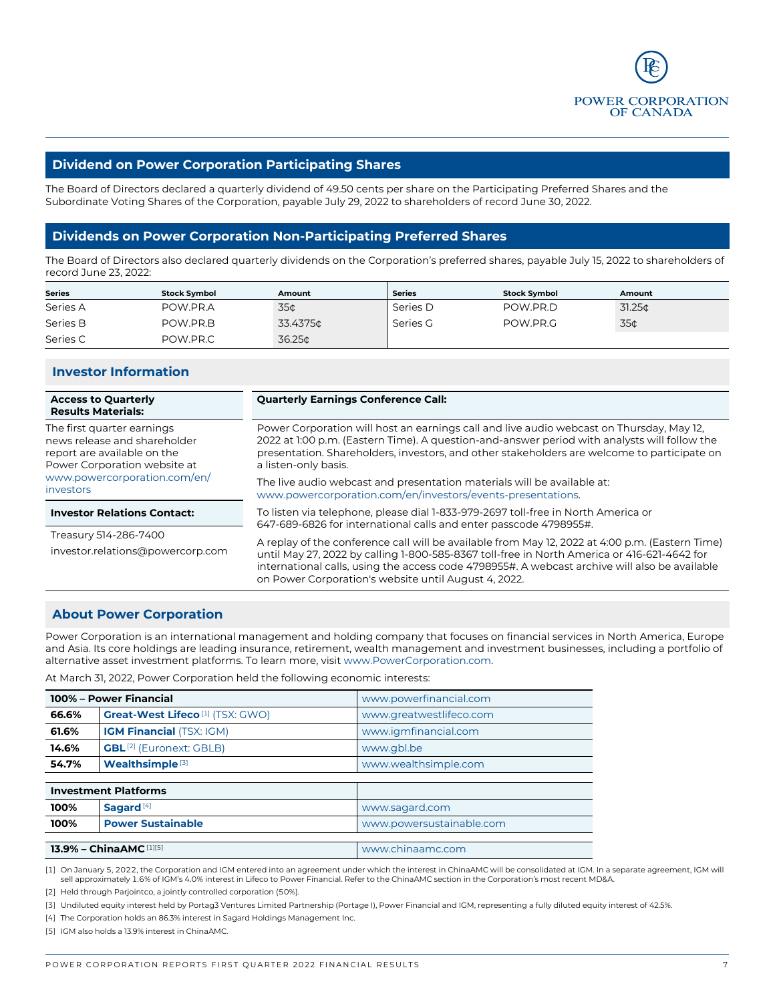

## **Dividend on Power Corporation Participating Shares**

The Board of Directors declared a quarterly dividend of 49.50 cents per share on the Participating Preferred Shares and the Subordinate Voting Shares of the Corporation, payable July 29, 2022 to shareholders of record June 30, 2022.

# **Dividends on Power Corporation Non-Participating Preferred Shares**

The Board of Directors also declared quarterly dividends on the Corporation's preferred shares, payable July 15, 2022 to shareholders of record June 23, 2022:

| <b>Series</b> | <b>Stock Symbol</b> | Amount   | <b>Series</b> | <b>Stock Symbol</b> | Amount             |
|---------------|---------------------|----------|---------------|---------------------|--------------------|
| Series A      | POW.PR.A            | 35¢      | Series D      | POW.PR.D            | 31.25 <sub>0</sub> |
| Series B      | POW.PR.B            | 33.4375¢ | Series G      | POW.PR.G            | 35¢                |
| Series C      | POW.PR.C            | 36.25¢   |               |                     |                    |

# **Investor Information**

| <b>Access to Quarterly</b><br><b>Results Materials:</b>                                                                   | <b>Quarterly Earnings Conference Call:</b>                                                                                                                                                                                                                                                                                                              |
|---------------------------------------------------------------------------------------------------------------------------|---------------------------------------------------------------------------------------------------------------------------------------------------------------------------------------------------------------------------------------------------------------------------------------------------------------------------------------------------------|
| The first quarter earnings<br>news release and shareholder<br>report are available on the<br>Power Corporation website at | Power Corporation will host an earnings call and live audio webcast on Thursday, May 12,<br>2022 at 1:00 p.m. (Eastern Time). A question-and-answer period with analysts will follow the<br>presentation. Shareholders, investors, and other stakeholders are welcome to participate on<br>a listen-only basis.                                         |
| www.powercorporation.com/en/<br><i>investors</i>                                                                          | The live audio webcast and presentation materials will be available at:<br>www.powercorporation.com/en/investors/events-presentations.                                                                                                                                                                                                                  |
| <b>Investor Relations Contact:</b>                                                                                        | To listen via telephone, please dial 1-833-979-2697 toll-free in North America or<br>647-689-6826 for international calls and enter passcode 4798955#.                                                                                                                                                                                                  |
| Treasury 514-286-7400<br>investor.relations@powercorp.com                                                                 | A replay of the conference call will be available from May 12, 2022 at 4:00 p.m. (Eastern Time)<br>until May 27, 2022 by calling 1-800-585-8367 toll-free in North America or 416-621-4642 for<br>international calls, using the access code 4798955#. A webcast archive will also be available<br>on Power Corporation's website until August 4, 2022. |

## **About Power Corporation**

Power Corporation is an international management and holding company that focuses on financial services in North America, Europe and Asia. Its core holdings are leading insurance, retirement, wealth management and investment businesses, including a portfolio of alternative asset investment platforms. To learn more, visi[t www.PowerCorporation.com.](https://www.powercorporation.com/en/investors/section-highlights/) 

At March 31, 2022, Power Corporation held the following economic interests:

| 100% - Power Financial |                                                    | www.powerfinancial.com   |
|------------------------|----------------------------------------------------|--------------------------|
| 66.6%                  | <b>Great-West Lifeco</b> <sup>[1]</sup> (TSX: GWO) | www.greatwestlifeco.com  |
| 61.6%                  | <b>IGM Financial (TSX: IGM)</b>                    | www.igmfinancial.com     |
| 14.6%                  | <b>GBL</b> <sup>[2]</sup> (Euronext: GBLB)         | www.gbl.be               |
| 54.7%                  | Wealthsimple <sup>[3]</sup>                        | www.wealthsimple.com     |
|                        |                                                    |                          |
|                        | <b>Investment Platforms</b>                        |                          |
| 100%                   | Sagard <sup>[4]</sup>                              | www.sagard.com           |
| 100%                   | <b>Power Sustainable</b>                           | www.powersustainable.com |
|                        |                                                    |                          |
|                        | <b>13.9% - ChinaAMC</b> [1][5]                     | www.chinaamc.com         |

[1] On January 5, 2022, the Corporation and IGM entered into an agreement under which the interest in ChinaAMC will be consolidated at IGM. In a separate agreement, IGM will<br>sell approximately 1.6% of IGM's 4.0% interest

[2] Held through Parjointco, a jointly controlled corporation (50%).

[3] Undiluted equity interest held by Portag3 Ventures Limited Partnership (Portage I), Power Financial and IGM, representing a fully diluted equity interest of 42.5%.

[4] The Corporation holds an 86.3% interest in Sagard Holdings Management Inc.

[5] IGM also holds a 13.9% interest in ChinaAMC.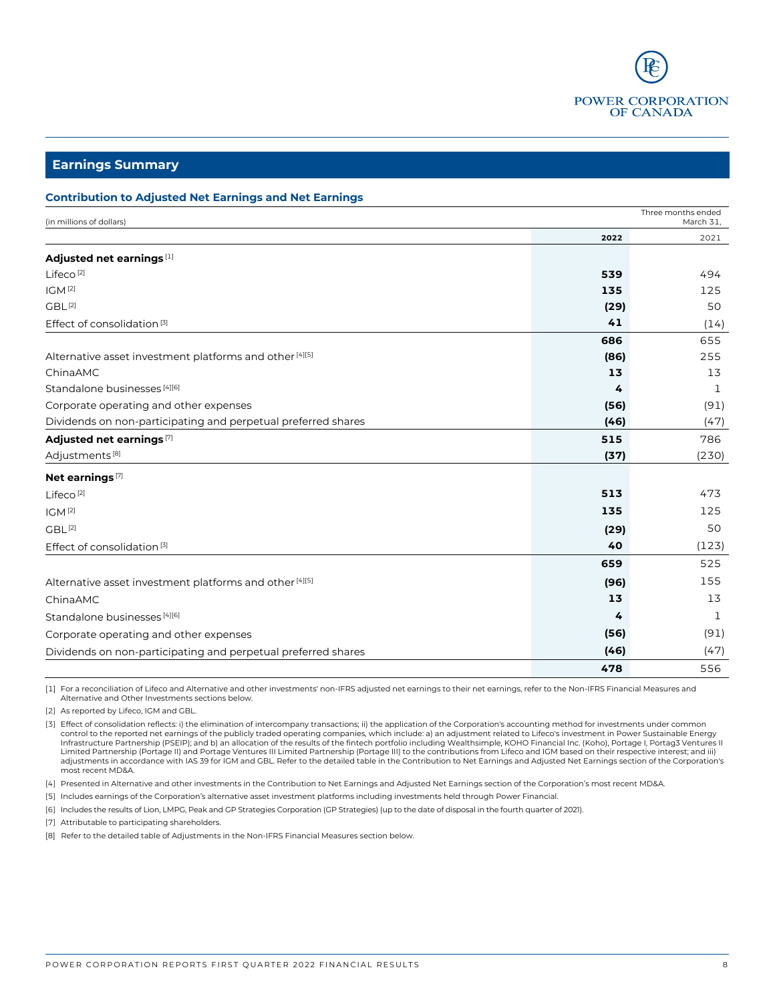

**Earnings Summary**

#### **Contribution to Adjusted Net Earnings and Net Earnings**

| (in millions of dollars)                                           |      | Three months ended<br>March 31, |
|--------------------------------------------------------------------|------|---------------------------------|
|                                                                    | 2022 | 2021                            |
| Adjusted net earnings [1]                                          |      |                                 |
| Lifeco <sup>[2]</sup>                                              | 539  | 494                             |
| IGM <sup>[2]</sup>                                                 | 135  | 125                             |
| GBL <sup>[2]</sup>                                                 | (29) | 50                              |
| Effect of consolidation <sup>[3]</sup>                             | 41   | (14)                            |
|                                                                    | 686  | 655                             |
| Alternative asset investment platforms and other [4][5]            | (86) | 255                             |
| ChinaAMC                                                           | 13   | 13                              |
| Standalone businesses [4][6]                                       | 4    | 1                               |
| Corporate operating and other expenses                             | (56) | (91)                            |
| Dividends on non-participating and perpetual preferred shares      | (46) | (47)                            |
| Adjusted net earnings [7]                                          | 515  | 786                             |
| Adjustments <sup>[8]</sup>                                         | (37) | (230)                           |
| Net earnings <sup>[7]</sup>                                        |      |                                 |
| Lifeco <sup>[2]</sup>                                              | 513  | 473                             |
| IGM <sup>[2]</sup>                                                 | 135  | 125                             |
| GBL <sup>[2]</sup>                                                 | (29) | 50                              |
| Effect of consolidation <sup>[3]</sup>                             | 40   | (123)                           |
|                                                                    | 659  | 525                             |
| Alternative asset investment platforms and other <sup>[4][5]</sup> | (96) | 155                             |
| ChinaAMC                                                           | 13   | 13                              |
| Standalone businesses [4][6]                                       | 4    | 1                               |
| Corporate operating and other expenses                             | (56) | (91)                            |
| Dividends on non-participating and perpetual preferred shares      | (46) | (47)                            |
|                                                                    | 478  | 556                             |

[1] For a reconciliation of Lifeco and Alternative and other investments' non-IFRS adjusted net earnings to their net earnings, refer to the Non-IFRS Financial Measures and Alternative and Other Investments sections below.

[2] As reported by Lifeco, IGM and GBL.

[3] Effect of consolidation reflects: i) the elimination of intercompany transactions; ii) the application of the Corporation's accounting method for investments under common control to the reported net earnings of the publicly traded operating companies, which include: a) an adjustment related to Lifeco's investment in Power Sustainable Energy Infrastructure Partnership (PSEIP); and b) an allocation of the results of the fintech portfolio including Wealthsimple, KOHO Financial Inc. (Koho), Portage I, Portag3 Ventures II<br>Limited Partnership (Portage II) and Porta adjustments in accordance with IAS 39 for IGM and GBL. Refer to the detailed table in the Contribution to Net Earnings and Adjusted Net Earnings section of the Corporation's most recent MD&A.

[4] Presented in Alternative and other investments in the Contribution to Net Earnings and Adjusted Net Earnings section of the Corporation's most recent MD&A.

[5] Includes earnings of the Corporation's alternative asset investment platforms including investments held through Power Financial.

[6] Includes the results of Lion, LMPG, Peak and GP Strategies Corporation (GP Strategies) (up to the date of disposal in the fourth quarter of 2021).

[7] Attributable to participating shareholders.

[8] Refer to the detailed table of Adjustments in the Non-IFRS Financial Measures section below.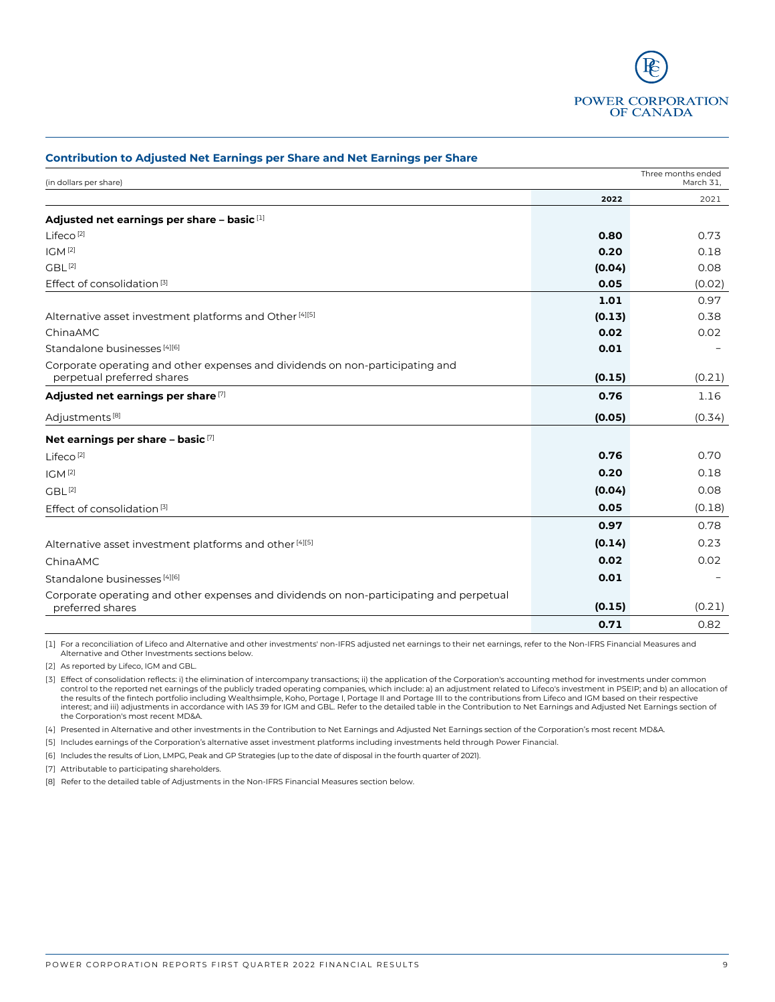

| continuation to Aujusted Net Edinings per share and Net Edinings per share                                  |        |                                 |
|-------------------------------------------------------------------------------------------------------------|--------|---------------------------------|
| (in dollars per share)                                                                                      |        | Three months ended<br>March 31, |
|                                                                                                             | 2022   | 2021                            |
| Adjusted net earnings per share - basic [1]                                                                 |        |                                 |
| Lifeco <sup>[2]</sup>                                                                                       | 0.80   | 0.73                            |
| IGM <sup>[2]</sup>                                                                                          | 0.20   | 0.18                            |
| GBL <sup>[2]</sup>                                                                                          | (0.04) | 0.08                            |
| Effect of consolidation <sup>[3]</sup>                                                                      | 0.05   | (0.02)                          |
|                                                                                                             | 1.01   | 0.97                            |
| Alternative asset investment platforms and Other <sup>[4][5]</sup>                                          | (0.13) | 0.38                            |
| ChinaAMC                                                                                                    | 0.02   | 0.02                            |
| Standalone businesses [4][6]                                                                                | 0.01   |                                 |
| Corporate operating and other expenses and dividends on non-participating and<br>perpetual preferred shares | (0.15) | (0.21)                          |
| Adjusted net earnings per share [7]                                                                         | 0.76   | 1.16                            |
| Adjustments <sup>[8]</sup>                                                                                  | (0.05) | (0.34)                          |
| Net earnings per share - basic $[7]$                                                                        |        |                                 |
| Lifeco <sup>[2]</sup>                                                                                       | 0.76   | 0.70                            |
| IGM <sup>[2]</sup>                                                                                          | 0.20   | 0.18                            |
| GBL <sup>[2]</sup>                                                                                          | (0.04) | 0.08                            |
| Effect of consolidation <sup>[3]</sup>                                                                      | 0.05   | (0.18)                          |
|                                                                                                             | 0.97   | 0.78                            |
| Alternative asset investment platforms and other <sup>[4][5]</sup>                                          | (0.14) | 0.23                            |
| ChinaAMC                                                                                                    | 0.02   | 0.02                            |
| Standalone businesses [4][6]                                                                                | 0.01   |                                 |
| Corporate operating and other expenses and dividends on non-participating and perpetual<br>preferred shares | (0.15) | (0.21)                          |
|                                                                                                             | 0.71   | 0.82                            |

**Contribution to Adjusted Net Earnings per Share and Net Earnings per Share** 

[1] For a reconciliation of Lifeco and Alternative and other investments' non-IFRS adjusted net earnings to their net earnings, refer to the Non-IFRS Financial Measures and Alternative and Other Investments sections below.

[2] As reported by Lifeco, IGM and GBL.

[3] Effect of consolidation reflects: i) the elimination of intercompany transactions; ii) the application of the Corporation's accounting method for investments under common control to the reported net earnings of the publicly traded operating companies, which include: a) an adjustment related to Lifeco's investment in PSEIP; and b) an allocation of the results of the fintech portfolio including Wealthsimple, Koho, Portage I, Portage II and Portage III to the contributions from Lifeco and IGM based on their respective interest; and iii) adjustments in accordance with IAS 39 for IGM and GBL. Refer to the detailed table in the Contribution to Net Earnings and Adjusted Net Earnings section of the Corporation's most recent MD&A.

[4] Presented in Alternative and other investments in the Contribution to Net Earnings and Adjusted Net Earnings section of the Corporation's most recent MD&A.

[5] Includes earnings of the Corporation's alternative asset investment platforms including investments held through Power Financial.

[6] Includes the results of Lion, LMPG, Peak and GP Strategies (up to the date of disposal in the fourth quarter of 2021).

[7] Attributable to participating shareholders.

[8] Refer to the detailed table of Adjustments in the Non-IFRS Financial Measures section below.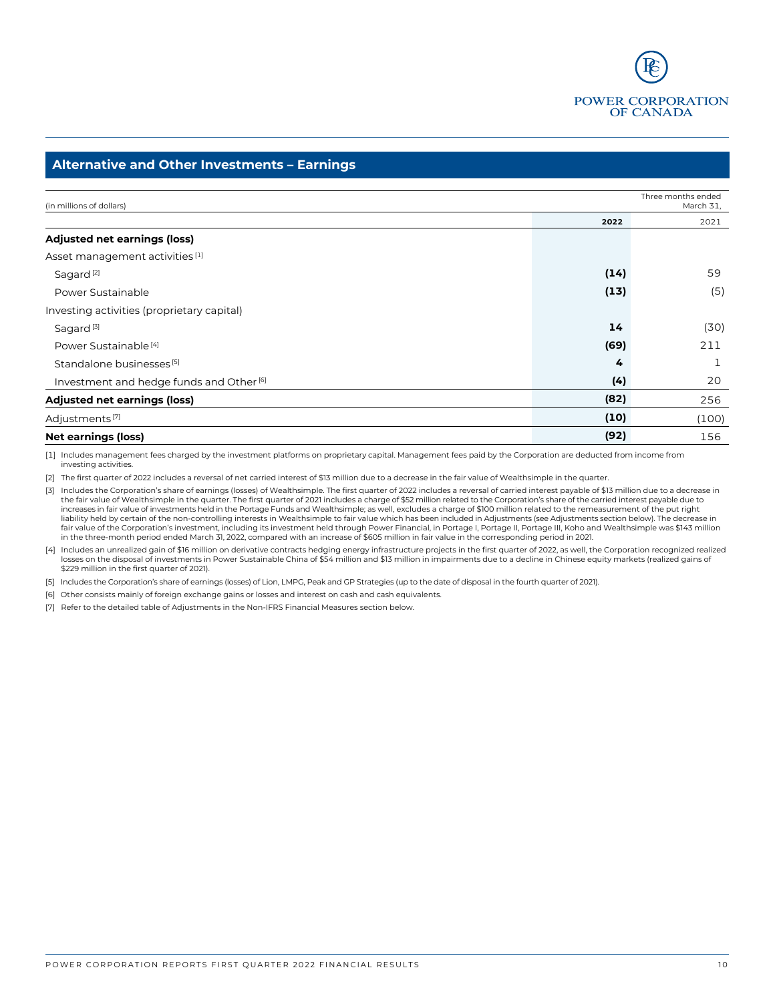

# **Alternative and Other Investments – Earnings**

| (in millions of dollars)                            |      | Three months ended<br>March 31, |
|-----------------------------------------------------|------|---------------------------------|
|                                                     | 2022 | 2021                            |
| <b>Adjusted net earnings (loss)</b>                 |      |                                 |
| Asset management activities [1]                     |      |                                 |
| Sagard <sup>[2]</sup>                               | (14) | 59                              |
| Power Sustainable                                   | (13) | (5)                             |
| Investing activities (proprietary capital)          |      |                                 |
| Sagard <sup>[3]</sup>                               | 14   | (30)                            |
| Power Sustainable <sup>[4]</sup>                    | (69) | 211                             |
| Standalone businesses <sup>[5]</sup>                | 4    | ┸                               |
| Investment and hedge funds and Other <sup>[6]</sup> | (4)  | 20                              |
| <b>Adjusted net earnings (loss)</b>                 | (82) | 256                             |
| Adjustments <sup>[7]</sup>                          | (10) | (100)                           |
| <b>Net earnings (loss)</b>                          | (92) | 156                             |

[1] Includes management fees charged by the investment platforms on proprietary capital. Management fees paid by the Corporation are deducted from income from investing activities.

[2] The first quarter of 2022 includes a reversal of net carried interest of \$13 million due to a decrease in the fair value of Wealthsimple in the quarter.

[3] Includes the Corporation's share of earnings (losses) of Wealthsimple. The first quarter of 2022 includes a reversal of carried interest payable of \$13 million due to a decrease in the fair value of Wealthsimple in the quarter. The first quarter of 2021 includes a charge of \$52 million related to the Corporation's share of the carried interest payable due to increases in fair value of investments held in the Portage Funds and Wealthsimple; as well, excludes a charge of \$100 million related to the remeasurement of the put right<br>Iiability held by certain of the non-controlling i fair value of the Corporation's investment, including its investment held through Power Financial, in Portage I, Portage II, Portage III, Koho and Wealthsimple was \$143 million in the three-month period ended March 31, 2022, compared with an increase of \$605 million in fair value in the corresponding period in 2021.

Includes an unrealized gain of \$16 million on derivative contracts hedging energy infrastructure projects in the first quarter of 2022, as well, the Corporation recognized realized (4] Includes an unrealized gains of<br>losse \$229 million in the first quarter of 2021).

[5] Includes the Corporation's share of earnings (losses) of Lion, LMPG, Peak and GP Strategies (up to the date of disposal in the fourth quarter of 2021).

[6] Other consists mainly of foreign exchange gains or losses and interest on cash and cash equivalents.

[7] Refer to the detailed table of Adjustments in the Non-IFRS Financial Measures section below.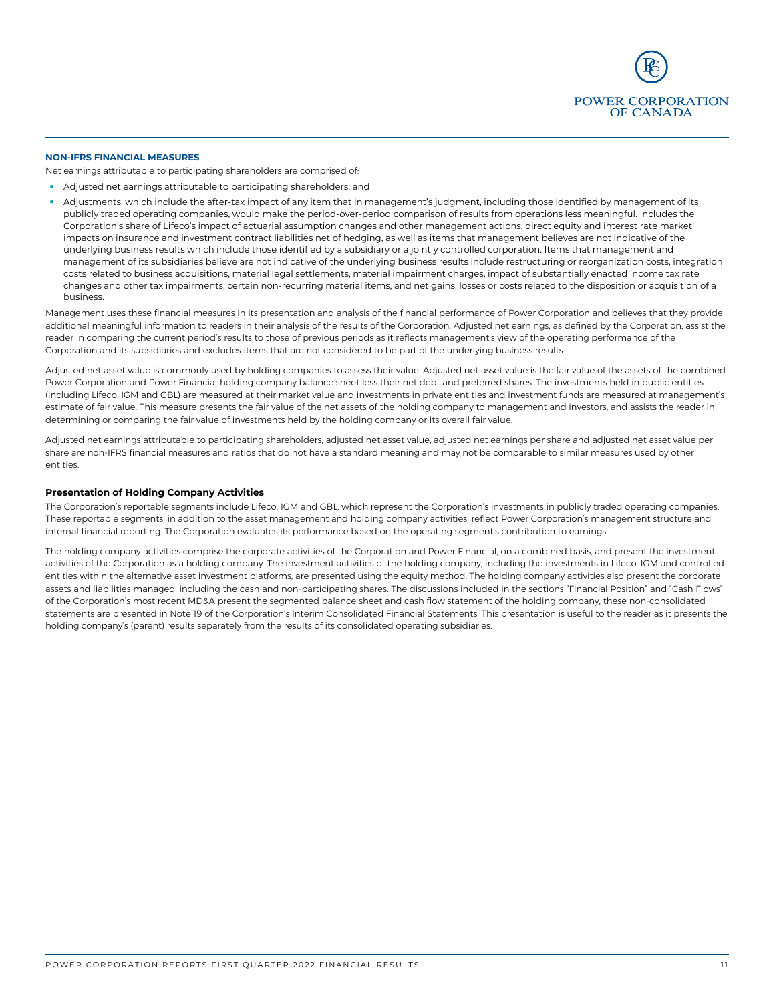

#### **NON-IFRS FINANCIAL MEASURES**

Net earnings attributable to participating shareholders are comprised of:

- Adjusted net earnings attributable to participating shareholders; and
- Adjustments, which include the after-tax impact of any item that in management's judgment, including those identified by management of its publicly traded operating companies, would make the period-over-period comparison of results from operations less meaningful. Includes the Corporation's share of Lifeco's impact of actuarial assumption changes and other management actions, direct equity and interest rate market impacts on insurance and investment contract liabilities net of hedging, as well as items that management believes are not indicative of the underlying business results which include those identified by a subsidiary or a jointly controlled corporation. Items that management and management of its subsidiaries believe are not indicative of the underlying business results include restructuring or reorganization costs, integration costs related to business acquisitions, material legal settlements, material impairment charges, impact of substantially enacted income tax rate changes and other tax impairments, certain non-recurring material items, and net gains, losses or costs related to the disposition or acquisition of a business.

Management uses these financial measures in its presentation and analysis of the financial performance of Power Corporation and believes that they provide additional meaningful information to readers in their analysis of the results of the Corporation. Adjusted net earnings, as defined by the Corporation, assist the reader in comparing the current period's results to those of previous periods as it reflects management's view of the operating performance of the Corporation and its subsidiaries and excludes items that are not considered to be part of the underlying business results.

Adjusted net asset value is commonly used by holding companies to assess their value. Adjusted net asset value is the fair value of the assets of the combined Power Corporation and Power Financial holding company balance sheet less their net debt and preferred shares. The investments held in public entities (including Lifeco, IGM and GBL) are measured at their market value and investments in private entities and investment funds are measured at management's estimate of fair value. This measure presents the fair value of the net assets of the holding company to management and investors, and assists the reader in determining or comparing the fair value of investments held by the holding company or its overall fair value.

Adjusted net earnings attributable to participating shareholders, adjusted net asset value, adjusted net earnings per share and adjusted net asset value per share are non-IFRS financial measures and ratios that do not have a standard meaning and may not be comparable to similar measures used by other entities.

#### **Presentation of Holding Company Activities**

The Corporation's reportable segments include Lifeco, IGM and GBL, which represent the Corporation's investments in publicly traded operating companies. These reportable segments, in addition to the asset management and holding company activities, reflect Power Corporation's management structure and internal financial reporting. The Corporation evaluates its performance based on the operating segment's contribution to earnings.

The holding company activities comprise the corporate activities of the Corporation and Power Financial, on a combined basis, and present the investment activities of the Corporation as a holding company. The investment activities of the holding company, including the investments in Lifeco, IGM and controlled entities within the alternative asset investment platforms, are presented using the equity method. The holding company activities also present the corporate assets and liabilities managed, including the cash and non-participating shares. The discussions included in the sections "Financial Position" and "Cash Flows" of the Corporation's most recent MD&A present the segmented balance sheet and cash flow statement of the holding company; these non-consolidated statements are presented in Note 19 of the Corporation's Interim Consolidated Financial Statements. This presentation is useful to the reader as it presents the holding company's (parent) results separately from the results of its consolidated operating subsidiaries.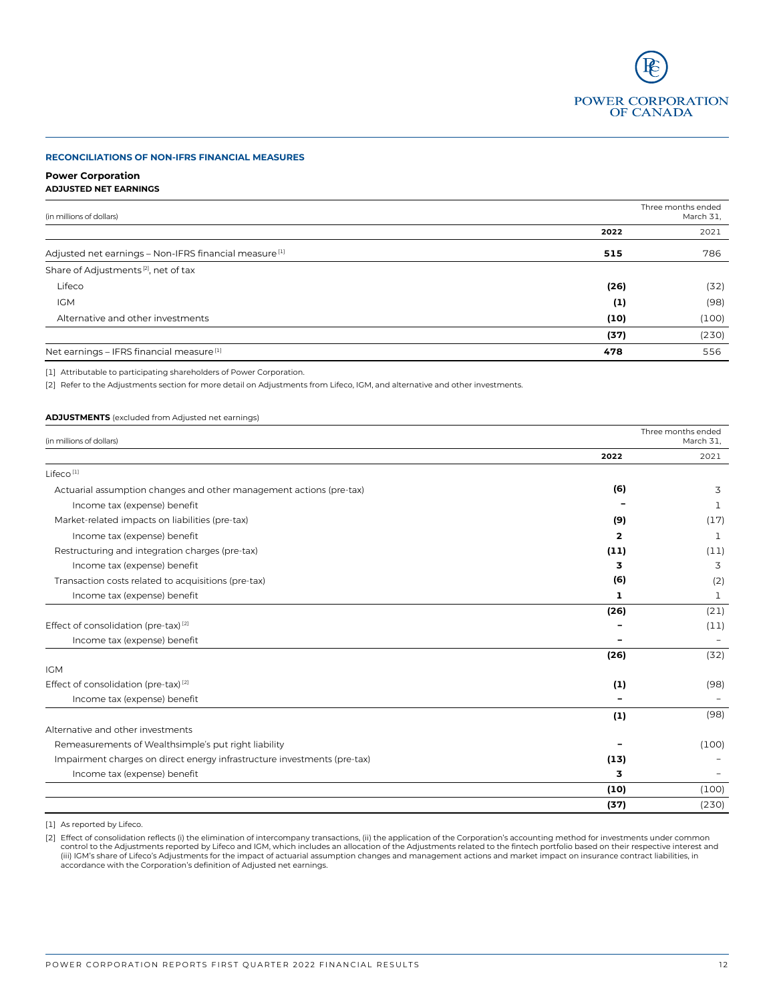

#### **RECONCILIATIONS OF NON-IFRS FINANCIAL MEASURES**

#### **Power Corporation ADJUSTED NET EARNINGS**

| (in millions of dollars)                                          |          | Three months ended<br>March 31, |
|-------------------------------------------------------------------|----------|---------------------------------|
|                                                                   | 2022     | 2021                            |
| Adjusted net earnings - Non-IFRS financial measure <sup>[1]</sup> | 515      | 786                             |
| Share of Adjustments <sup>[2]</sup> , net of tax                  |          |                                 |
| Lifeco                                                            | (26)     | (32)                            |
| <b>IGM</b>                                                        | $\bf(1)$ | (98)                            |
| Alternative and other investments                                 | (10)     | (100)                           |
|                                                                   | (37)     | (230)                           |
| Net earnings - IFRS financial measure <sup>[1]</sup>              | 478      | 556                             |

[1] Attributable to participating shareholders of Power Corporation.

[2] Refer to the Adjustments section for more detail on Adjustments from Lifeco, IGM, and alternative and other investments.

### **ADJUSTMENTS** (excluded from Adjusted net earnings)

| (in millions of dollars)                                                 |      | Three months ended<br>March 31. |
|--------------------------------------------------------------------------|------|---------------------------------|
|                                                                          | 2022 | 2021                            |
| Lifeco <sup>[1]</sup>                                                    |      |                                 |
| Actuarial assumption changes and other management actions (pre-tax)      | (6)  | 3                               |
| Income tax (expense) benefit                                             |      | п.                              |
| Market-related impacts on liabilities (pre-tax)                          | (9)  | (17)                            |
| Income tax (expense) benefit                                             | 2    | 1                               |
| Restructuring and integration charges (pre-tax)                          | (11) | (11)                            |
| Income tax (expense) benefit                                             | 3    | 3                               |
| Transaction costs related to acquisitions (pre-tax)                      | (6)  | (2)                             |
| Income tax (expense) benefit                                             | 1    | 1                               |
|                                                                          | (26) | (21)                            |
| Effect of consolidation (pre-tax) <sup>[2]</sup>                         |      | (11)                            |
| Income tax (expense) benefit                                             |      |                                 |
|                                                                          | (26) | (32)                            |
| <b>IGM</b>                                                               |      |                                 |
| Effect of consolidation (pre-tax) <sup>[2]</sup>                         | (1)  | (98)                            |
| Income tax (expense) benefit                                             |      |                                 |
|                                                                          | (1)  | (98)                            |
| Alternative and other investments                                        |      |                                 |
| Remeasurements of Wealthsimple's put right liability                     |      | (100)                           |
| Impairment charges on direct energy infrastructure investments (pre-tax) | (13) |                                 |
| Income tax (expense) benefit                                             | 3    |                                 |
|                                                                          | (10) | (100)                           |
|                                                                          | (37) | (230)                           |

[1] As reported by Lifeco.

[2] Effect of consolidation reflects (i) the elimination of intercompany transactions, (ii) the application of the Corporation's accounting method for investments under common or the Adisments related to the Multimental of accordance with the Corporation's definition of Adjusted net earnings.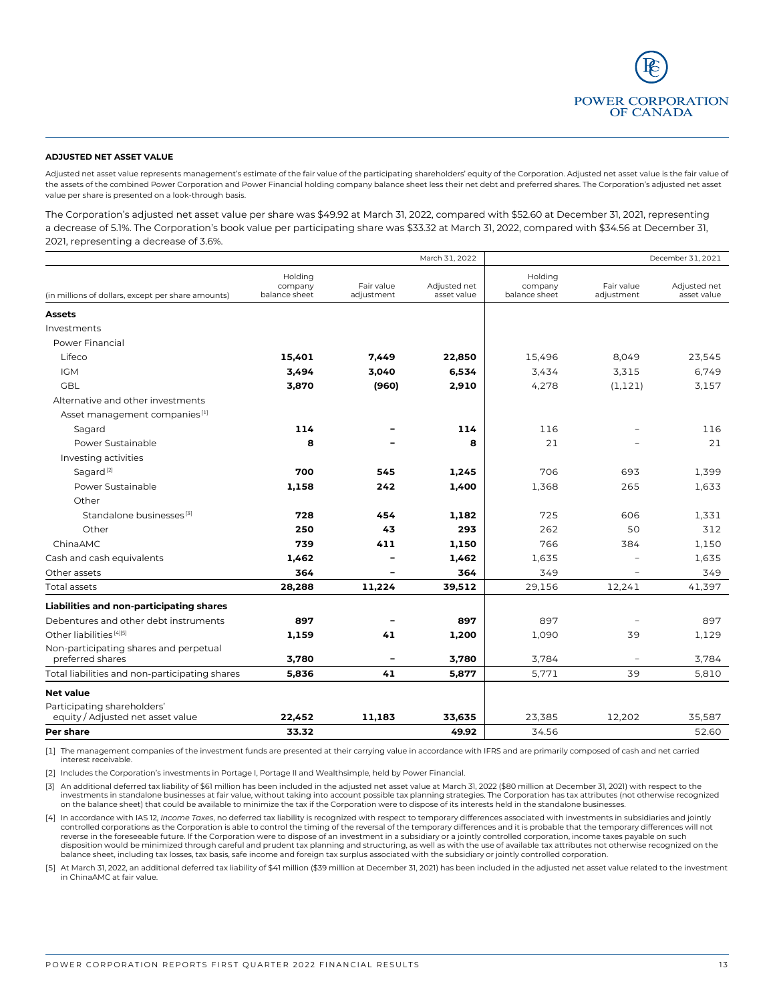

#### **ADJUSTED NET ASSET VALUE**

Adjusted net asset value represents management's estimate of the fair value of the participating shareholders' equity of the Corporation. Adjusted net asset value is the fair value of the assets of the combined Power Corporation and Power Financial holding company balance sheet less their net debt and preferred shares. The Corporation's adjusted net asset value per share is presented on a look-through basis.

The Corporation's adjusted net asset value per share was \$49.92 at March 31, 2022, compared with \$52.60 at December 31, 2021, representing a decrease of 5.1%. The Corporation's book value per participating share was \$33.32 at March 31, 2022, compared with \$34.56 at December 31, 2021, representing a decrease of 3.6%.

| March 31, 2022                                             |                                     |                          |                             | December 31, 2021                   |                          |                             |
|------------------------------------------------------------|-------------------------------------|--------------------------|-----------------------------|-------------------------------------|--------------------------|-----------------------------|
| (in millions of dollars, except per share amounts)         | Holding<br>company<br>balance sheet | Fair value<br>adjustment | Adjusted net<br>asset value | Holding<br>company<br>balance sheet | Fair value<br>adjustment | Adjusted net<br>asset value |
| <b>Assets</b>                                              |                                     |                          |                             |                                     |                          |                             |
| Investments                                                |                                     |                          |                             |                                     |                          |                             |
| Power Financial                                            |                                     |                          |                             |                                     |                          |                             |
| Lifeco                                                     | 15,401                              | 7,449                    | 22,850                      | 15,496                              | 8,049                    | 23,545                      |
| <b>IGM</b>                                                 | 3,494                               | 3,040                    | 6,534                       | 3,434                               | 3,315                    | 6,749                       |
| <b>GBL</b>                                                 | 3,870                               | (960)                    | 2,910                       | 4,278                               | (1, 121)                 | 3,157                       |
| Alternative and other investments                          |                                     |                          |                             |                                     |                          |                             |
| Asset management companies <sup>[1]</sup>                  |                                     |                          |                             |                                     |                          |                             |
| Sagard                                                     | 114                                 |                          | 114                         | 116                                 |                          | 116                         |
| Power Sustainable                                          | 8                                   |                          | 8                           | 21                                  |                          | 21                          |
| Investing activities                                       |                                     |                          |                             |                                     |                          |                             |
| Sagard <sup>[2]</sup>                                      | 700                                 | 545                      | 1,245                       | 706                                 | 693                      | 1,399                       |
| Power Sustainable                                          | 1,158                               | 242                      | 1,400                       | 1,368                               | 265                      | 1,633                       |
| Other                                                      |                                     |                          |                             |                                     |                          |                             |
| Standalone businesses <sup>[3]</sup>                       | 728                                 | 454                      | 1,182                       | 725                                 | 606                      | 1,331                       |
| Other                                                      | 250                                 | 43                       | 293                         | 262                                 | 50                       | 312                         |
| ChinaAMC                                                   | 739                                 | 411                      | 1,150                       | 766                                 | 384                      | 1.150                       |
| Cash and cash equivalents                                  | 1,462                               |                          | 1,462                       | 1,635                               |                          | 1,635                       |
| Other assets                                               | 364                                 |                          | 364                         | 349                                 |                          | 349                         |
| Total assets                                               | 28,288                              | 11,224                   | 39,512                      | 29,156                              | 12,241                   | 41,397                      |
| Liabilities and non-participating shares                   |                                     |                          |                             |                                     |                          |                             |
| Debentures and other debt instruments                      | 897                                 |                          | 897                         | 897                                 |                          | 897                         |
| Other liabilities <sup>[4][5]</sup>                        | 1,159                               | 41                       | 1,200                       | 1.090                               | 39                       | 1,129                       |
| Non-participating shares and perpetual<br>preferred shares | 3,780                               |                          | 3,780                       | 3,784                               |                          | 3,784                       |
| Total liabilities and non-participating shares             | 5,836                               | 41                       | 5,877                       | 5,771                               | 39                       | 5,810                       |
| <b>Net value</b>                                           |                                     |                          |                             |                                     |                          |                             |
| Participating shareholders'                                |                                     |                          |                             |                                     |                          |                             |
| equity / Adjusted net asset value                          | 22,452                              | 11,183                   | 33,635                      | 23,385                              | 12,202                   | 35,587                      |
| Per share                                                  | 33.32                               |                          | 49.92                       | 34.56                               |                          | 52.60                       |

[1] The management companies of the investment funds are presented at their carrying value in accordance with IFRS and are primarily composed of cash and net carried interest receivable.

[2] Includes the Corporation's investments in Portage I, Portage II and Wealthsimple, held by Power Financial.

[3] An additional deferred tax liability of \$61 million has been included in the adjusted net asset value at March 31, 2022 (\$80 million at December 31, 2021) with respect to the investments in standalone businesses at fair value, without taking into account possible tax planning strategies. The Corporation has tax attributes (not otherwise recognized on the balance sheet) that could be available to minimize the tax if the Corporation were to dispose of its interests held in the standalone businesses.

[4] In accordance with IAS 12, *Income Taxes*, no deferred tax liability is recognized with respect to temporary differences associated with investments in subsidiaries and jointly controlled corporations as the Corporation is able to control the timing of the reversal of the temporary differences and it is probable that the temporary differences will not reverse in the foreseeable future. If the Corporation were to dispose of an investment in a subsidiary or a jointly controlled corporation, income taxes payable on such disposition would be minimized through careful and prudent tax planning and structuring, as well as with the use of available tax attributes not otherwise recognized on the balance sheet, including tax losses, tax basis, safe income and foreign tax surplus associated with the subsidiary or jointly controlled corporation.

[5] At March 31, 2022, an additional deferred tax liability of \$41 million (\$39 million at December 31, 2021) has been included in the adjusted net asset value related to the investment in ChinaAMC at fair value.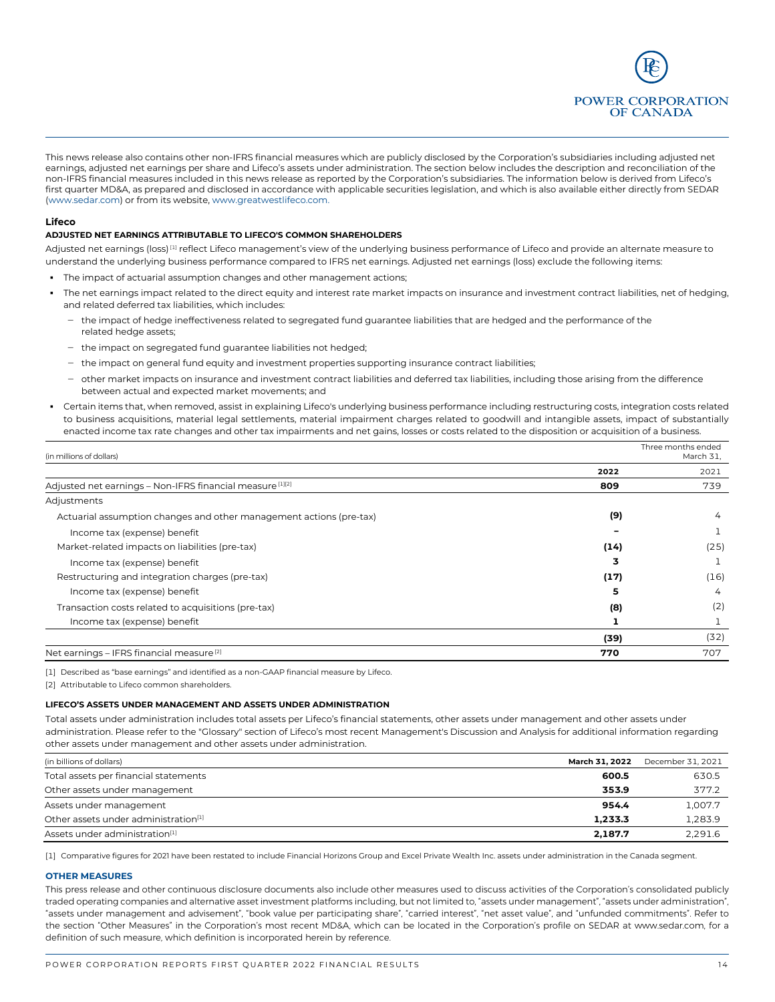

This news release also contains other non-IFRS financial measures which are publicly disclosed by the Corporation's subsidiaries including adjusted net earnings, adjusted net earnings per share and Lifeco's assets under administration. The section below includes the description and reconciliation of the non-IFRS financial measures included in this news release as reported by the Corporation's subsidiaries. The information below is derived from Lifeco's first quarter MD&A, as prepared and disclosed in accordance with applicable securities legislation, and which is also available either directly from SEDAR [\(www.sedar.com\)](http://www.sedar.com/) or from its website[, www.greatwestlifeco.com.](http://www.greatwestlifeco.com/)

#### **Lifeco**

#### **ADJUSTED NET EARNINGS ATTRIBUTABLE TO LIFECO'S COMMON SHAREHOLDERS**

Adjusted net earnings (loss)<sup>[1]</sup> reflect Lifeco management's view of the underlying business performance of Lifeco and provide an alternate measure to understand the underlying business performance compared to IFRS net earnings. Adjusted net earnings (loss) exclude the following items:

- The impact of actuarial assumption changes and other management actions;
- The net earnings impact related to the direct equity and interest rate market impacts on insurance and investment contract liabilities, net of hedging, and related deferred tax liabilities, which includes:
	- ‒ the impact of hedge ineffectiveness related to segregated fund guarantee liabilities that are hedged and the performance of the related hedge assets;
	- the impact on segregated fund guarantee liabilities not hedged;
	- the impact on general fund equity and investment properties supporting insurance contract liabilities;
	- ‒ other market impacts on insurance and investment contract liabilities and deferred tax liabilities, including those arising from the difference between actual and expected market movements; and
- Certain items that, when removed, assist in explaining Lifeco's underlying business performance including restructuring costs, integration costs related to business acquisitions, material legal settlements, material impairment charges related to goodwill and intangible assets, impact of substantially enacted income tax rate changes and other tax impairments and net gains, losses or costs related to the disposition or acquisition of a business.

| (in millions of dollars)                                            | Three months ended<br>March 31, |      |
|---------------------------------------------------------------------|---------------------------------|------|
|                                                                     | 2022                            | 2021 |
| Adjusted net earnings - Non-IFRS financial measure [1][2]           | 809                             | 739  |
| Adjustments                                                         |                                 |      |
| Actuarial assumption changes and other management actions (pre-tax) | (9)                             | 4    |
| Income tax (expense) benefit                                        |                                 |      |
| Market-related impacts on liabilities (pre-tax)                     | (14)                            | (25) |
| Income tax (expense) benefit                                        | 3                               |      |
| Restructuring and integration charges (pre-tax)                     | (17)                            | (16) |
| Income tax (expense) benefit                                        | 5                               | 4    |
| Transaction costs related to acquisitions (pre-tax)                 | (8)                             | (2)  |
| Income tax (expense) benefit                                        |                                 |      |
|                                                                     | (39)                            | (32) |
| Net earnings - IFRS financial measure <sup>[2]</sup>                | 770                             | 707  |

[1] Described as "base earnings" and identified as a non-GAAP financial measure by Lifeco.

[2] Attributable to Lifeco common shareholders.

#### **LIFECO'S ASSETS UNDER MANAGEMENT AND ASSETS UNDER ADMINISTRATION**

Total assets under administration includes total assets per Lifeco's financial statements, other assets under management and other assets under administration. Please refer to the "Glossary" section of Lifeco's most recent Management's Discussion and Analysis for additional information regarding other assets under management and other assets under administration.

| (in billions of dollars)                         | <b>March 31. 2022</b> | December 31, 2021 |
|--------------------------------------------------|-----------------------|-------------------|
| Total assets per financial statements            | 600.5                 | 630.5             |
| Other assets under management                    | 353.9                 | 377.2             |
| Assets under management                          | 954.4                 | 1.007.7           |
| Other assets under administration <sup>[1]</sup> | 1.233.3               | 1.283.9           |
| Assets under administration <sup>[1]</sup>       | 2,187.7               | 2,291.6           |

[1] Comparative figures for 2021 have been restated to include Financial Horizons Group and Excel Private Wealth Inc. assets under administration in the Canada segment.

#### **OTHER MEASURES**

This press release and other continuous disclosure documents also include other measures used to discuss activities of the Corporation's consolidated publicly traded operating companies and alternative asset investment platforms including, but not limited to, "assets under management", "assets under administration", "assets under management and advisement", "book value per participating share", "carried interest", "net asset value", and "unfunded commitments". Refer to the section "Other Measures" in the Corporation's most recent MD&A, which can be located in the Corporation's profile on SEDAR at www.sedar.com, for a definition of such measure, which definition is incorporated herein by reference.